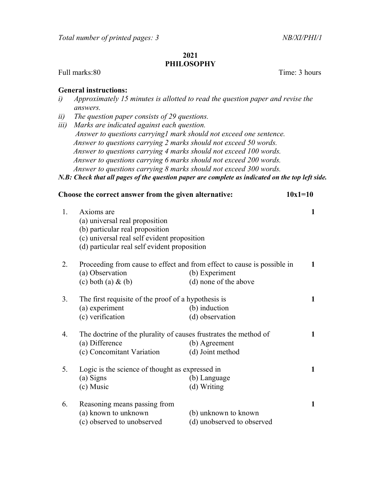## 2021 PHILOSOPHY

Full marks:80 Time: 3 hours

## General instructions:

- i) Approximately 15 minutes is allotted to read the question paper and revise the answers.
- ii) The question paper consists of 29 questions.
- iii) Marks are indicated against each question. Answer to questions carrying1 mark should not exceed one sentence. Answer to questions carrying 2 marks should not exceed 50 words. Answer to questions carrying 4 marks should not exceed 100 words. Answer to questions carrying 6 marks should not exceed 200 words. Answer to questions carrying 8 marks should not exceed 300 words.
- N.B: Check that all pages of the question paper are complete as indicated on the top left side.

|    | Choose the correct answer from the given alternative:                                                                                                                          |                                                    |              |
|----|--------------------------------------------------------------------------------------------------------------------------------------------------------------------------------|----------------------------------------------------|--------------|
| 1. | Axioms are<br>(a) universal real proposition<br>(b) particular real proposition<br>(c) universal real self evident proposition<br>(d) particular real self evident proposition |                                                    | 1            |
| 2. | Proceeding from cause to effect and from effect to cause is possible in<br>(a) Observation<br>$(c)$ both $(a)$ & $(b)$                                                         | (b) Experiment<br>(d) none of the above            | 1            |
| 3. | The first requisite of the proof of a hypothesis is<br>(a) experiment<br>(c) verification                                                                                      | (b) induction<br>(d) observation                   | $\mathbf{1}$ |
| 4. | The doctrine of the plurality of causes frustrates the method of<br>(a) Difference<br>(c) Concomitant Variation                                                                | (b) Agreement<br>(d) Joint method                  | 1            |
| 5. | Logic is the science of thought as expressed in<br>(a) Signs<br>(c) Music                                                                                                      | (b) Language<br>(d) Writing                        | $\mathbf{1}$ |
| 6. | Reasoning means passing from<br>(a) known to unknown<br>(c) observed to unobserved                                                                                             | (b) unknown to known<br>(d) unobserved to observed | 1            |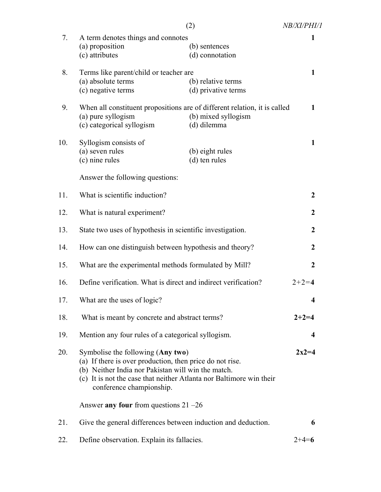|     |                                                                                                                                                                                                                                                                                                    | (2)                                       | NB/XI/PHI/1      |
|-----|----------------------------------------------------------------------------------------------------------------------------------------------------------------------------------------------------------------------------------------------------------------------------------------------------|-------------------------------------------|------------------|
| 7.  | A term denotes things and connotes<br>(a) proposition<br>(c) attributes                                                                                                                                                                                                                            | (b) sentences<br>(d) connotation          | 1                |
| 8.  | Terms like parent/child or teacher are<br>(a) absolute terms<br>(c) negative terms                                                                                                                                                                                                                 | (b) relative terms<br>(d) privative terms | 1                |
| 9.  | When all constituent propositions are of different relation, it is called<br>(a) pure syllogism<br>(c) categorical syllogism                                                                                                                                                                       | (b) mixed syllogism<br>(d) dilemma        | 1                |
| 10. | Syllogism consists of<br>(a) seven rules<br>(c) nine rules                                                                                                                                                                                                                                         | (b) eight rules<br>(d) ten rules          | 1                |
|     | Answer the following questions:                                                                                                                                                                                                                                                                    |                                           |                  |
| 11. | What is scientific induction?                                                                                                                                                                                                                                                                      |                                           | $\boldsymbol{2}$ |
| 12. | What is natural experiment?                                                                                                                                                                                                                                                                        |                                           | $\overline{2}$   |
| 13. | State two uses of hypothesis in scientific investigation.                                                                                                                                                                                                                                          |                                           | $\boldsymbol{2}$ |
| 14. | How can one distinguish between hypothesis and theory?                                                                                                                                                                                                                                             |                                           | $\boldsymbol{2}$ |
| 15. | What are the experimental methods formulated by Mill?                                                                                                                                                                                                                                              |                                           | $\overline{2}$   |
| 16. | Define verification. What is direct and indirect verification?                                                                                                                                                                                                                                     |                                           | $2+2=4$          |
| 17. | What are the uses of logic?                                                                                                                                                                                                                                                                        |                                           |                  |
| 18. | What is meant by concrete and abstract terms?                                                                                                                                                                                                                                                      |                                           | $2 + 2 = 4$      |
| 19. | Mention any four rules of a categorical syllogism.                                                                                                                                                                                                                                                 |                                           | 4                |
| 20. | Symbolise the following (Any two)<br>(a) If there is over production, then price do not rise.<br>(b) Neither India nor Pakistan will win the match.<br>(c) It is not the case that neither Atlanta nor Baltimore win their<br>conference championship.<br>Answer any four from questions $21 - 26$ |                                           | $2x2=4$          |
|     |                                                                                                                                                                                                                                                                                                    |                                           |                  |
| 21. | Give the general differences between induction and deduction.                                                                                                                                                                                                                                      |                                           | 6                |
| 22. | Define observation. Explain its fallacies.                                                                                                                                                                                                                                                         |                                           | $2+4=6$          |